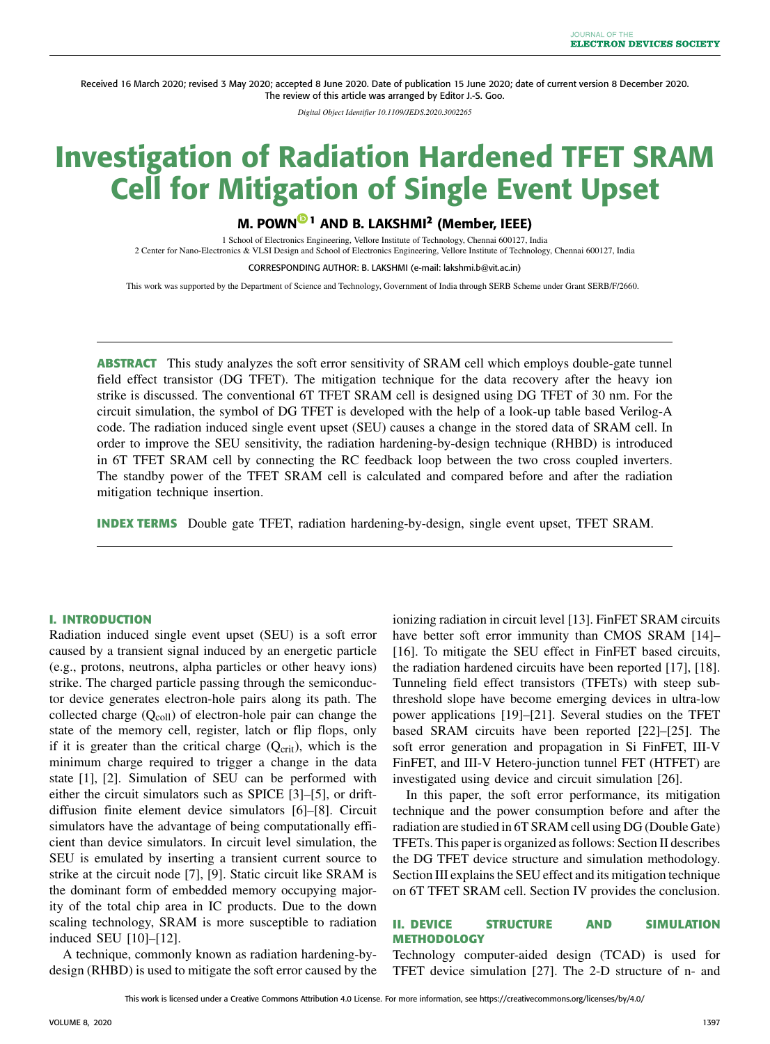Received 16 March 2020; revised 3 May 2020; accepted 8 June 2020. Date of publication 15 June 2020; date of current version 8 December 2020. The review of this article was arranged by Editor J.-S. Goo.

*Digital Object Identifier 10.1109/JEDS.2020.3002265*

# Investigation of Radiation Hardened TFET SRAM Cell for Mitigation of Single Event Upset

## M. POWN **<sup>1</sup>** AND B. LAKSHMI**<sup>2</sup>** (Member, IEEE)

1 School of Electronics Engineering, Vellore Institute of Technology, Chennai 600127, India 2 Center for Nano-Electronics & VLSI Design and School of Electronics Engineering, Vellore Institute of Technology, Chennai 600127, India

CORRESPONDING AUTHOR: B. LAKSHMI (e-mail: lakshmi.b@vit.ac.in)

This work was supported by the Department of Science and Technology, Government of India through SERB Scheme under Grant SERB/F/2660.

**ABSTRACT** This study analyzes the soft error sensitivity of SRAM cell which employs double-gate tunnel field effect transistor (DG TFET). The mitigation technique for the data recovery after the heavy ion strike is discussed. The conventional 6T TFET SRAM cell is designed using DG TFET of 30 nm. For the circuit simulation, the symbol of DG TFET is developed with the help of a look-up table based Verilog-A code. The radiation induced single event upset (SEU) causes a change in the stored data of SRAM cell. In order to improve the SEU sensitivity, the radiation hardening-by-design technique (RHBD) is introduced in 6T TFET SRAM cell by connecting the RC feedback loop between the two cross coupled inverters. The standby power of the TFET SRAM cell is calculated and compared before and after the radiation mitigation technique insertion.

**INDEX TERMS** Double gate TFET, radiation hardening-by-design, single event upset, TFET SRAM.

#### **I. INTRODUCTION**

Radiation induced single event upset (SEU) is a soft error caused by a transient signal induced by an energetic particle (e.g., protons, neutrons, alpha particles or other heavy ions) strike. The charged particle passing through the semiconductor device generates electron-hole pairs along its path. The collected charge  $(Q_{\text{coll}})$  of electron-hole pair can change the state of the memory cell, register, latch or flip flops, only if it is greater than the critical charge  $(Q<sub>crit</sub>)$ , which is the minimum charge required to trigger a change in the data state [1], [2]. Simulation of SEU can be performed with either the circuit simulators such as SPICE [3]–[5], or driftdiffusion finite element device simulators [6]–[8]. Circuit simulators have the advantage of being computationally efficient than device simulators. In circuit level simulation, the SEU is emulated by inserting a transient current source to strike at the circuit node [7], [9]. Static circuit like SRAM is the dominant form of embedded memory occupying majority of the total chip area in IC products. Due to the down scaling technology, SRAM is more susceptible to radiation induced SEU [10]–[12].

A technique, commonly known as radiation hardening-bydesign (RHBD) is used to mitigate the soft error caused by the ionizing radiation in circuit level [13]. FinFET SRAM circuits have better soft error immunity than CMOS SRAM [14]-[16]. To mitigate the SEU effect in FinFET based circuits, the radiation hardened circuits have been reported [17], [18]. Tunneling field effect transistors (TFETs) with steep subthreshold slope have become emerging devices in ultra-low power applications [19]–[21]. Several studies on the TFET based SRAM circuits have been reported [22]–[25]. The soft error generation and propagation in Si FinFET, III-V FinFET, and III-V Hetero-junction tunnel FET (HTFET) are investigated using device and circuit simulation [26].

In this paper, the soft error performance, its mitigation technique and the power consumption before and after the radiation are studied in 6T SRAM cell using DG (Double Gate) TFETs. This paper is organized as follows: Section II describes the DG TFET device structure and simulation methodology. Section III explains the SEU effect and its mitigation technique on 6T TFET SRAM cell. Section IV provides the conclusion.

### **II. DEVICE STRUCTURE AND SIMULATION METHODOLOGY**

Technology computer-aided design (TCAD) is used for TFET device simulation [27]. The 2-D structure of n- and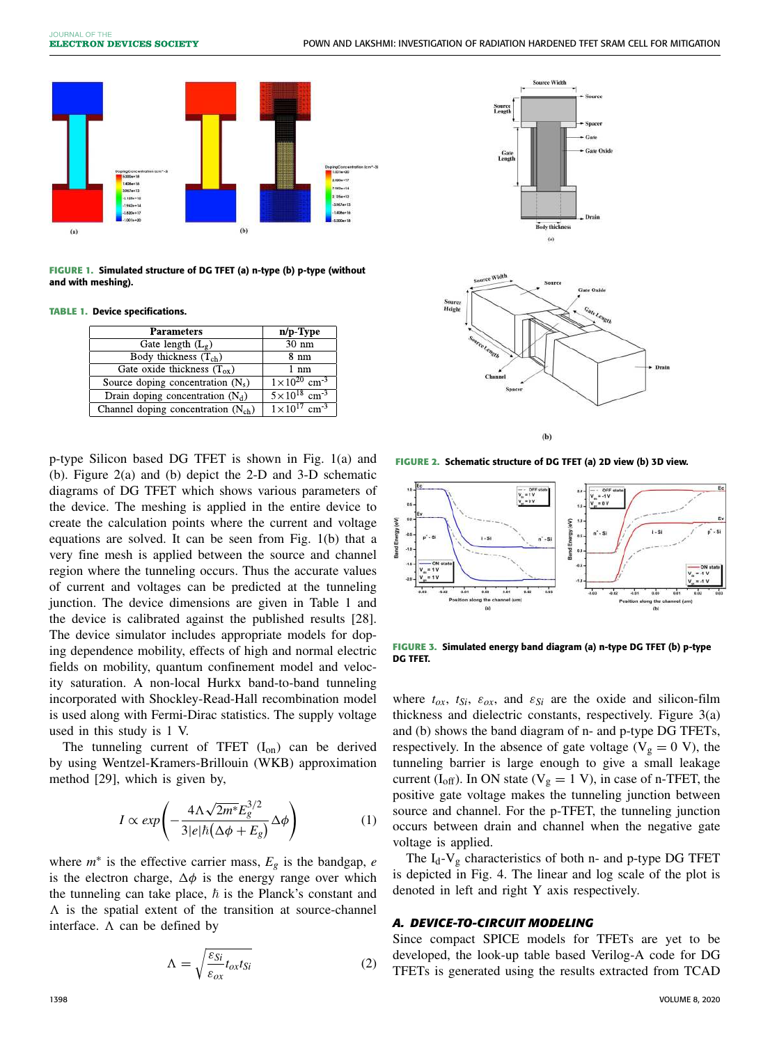

FIGURE 1. Simulated structure of DG TFET (a) n-type (b) p-type (without and with meshing).

**TABLE 1.** Device specifications.

| <b>Parameters</b>                       | n/p-Type                            |
|-----------------------------------------|-------------------------------------|
| Gate length $(L_g)$                     | $30 \text{ nm}$                     |
| Body thickness $(T_{ch})$               | 8 nm                                |
| Gate oxide thickness $(T_{ox})$         | 1 nm                                |
| Source doping concentration $(N_s)$     | $1 \times 10^{20}$ cm <sup>3</sup>  |
| Drain doping concentration $(N_d)$      | $5 \times 10^{18}$ cm <sup>-3</sup> |
| Channel doping concentration $(N_{ch})$ | $1 \times 10^{17}$ cm <sup>-3</sup> |

p-type Silicon based DG TFET is shown in Fig. 1(a) and (b). Figure 2(a) and (b) depict the 2-D and 3-D schematic diagrams of DG TFET which shows various parameters of the device. The meshing is applied in the entire device to create the calculation points where the current and voltage equations are solved. It can be seen from Fig. 1(b) that a very fine mesh is applied between the source and channel region where the tunneling occurs. Thus the accurate values of current and voltages can be predicted at the tunneling junction. The device dimensions are given in Table 1 and the device is calibrated against the published results [28]. The device simulator includes appropriate models for doping dependence mobility, effects of high and normal electric fields on mobility, quantum confinement model and velocity saturation. A non-local Hurkx band-to-band tunneling incorporated with Shockley-Read-Hall recombination model is used along with Fermi-Dirac statistics. The supply voltage used in this study is 1 V.

The tunneling current of TFET  $(I_{on})$  can be derived by using Wentzel-Kramers-Brillouin (WKB) approximation method [29], which is given by,

$$
I \propto exp\left(-\frac{4\Lambda\sqrt{2m^*}E_g^{3/2}}{3|e|\hbar(\Delta\phi + E_g)}\Delta\phi\right) \tag{1}
$$

where  $m^*$  is the effective carrier mass,  $E_g$  is the bandgap, *e* is the electron charge,  $\Delta \phi$  is the energy range over which the tunneling can take place,  $\hbar$  is the Planck's constant and  $\Lambda$  is the spatial extent of the transition at source-channel interface.  $\Lambda$  can be defined by

$$
\Lambda = \sqrt{\frac{\varepsilon_{Si}}{\varepsilon_{ox}} t_{ox} t_{Si}}
$$
 (2)



**FIGURE 2.** Schematic structure of DG TFET (a) 2D view (b) 3D view.



**FIGURE 3.** Simulated energy band diagram (a) n-type DG TFET (b) p-type DG TFET.

where  $t_{ox}$ ,  $t_{Si}$ ,  $\varepsilon_{ox}$ , and  $\varepsilon_{Si}$  are the oxide and silicon-film thickness and dielectric constants, respectively. Figure 3(a) and (b) shows the band diagram of n- and p-type DG TFETs, respectively. In the absence of gate voltage ( $V_g = 0$  V), the tunneling barrier is large enough to give a small leakage current ( $I_{off}$ ). In ON state ( $V_g = 1$  V), in case of n-TFET, the positive gate voltage makes the tunneling junction between source and channel. For the p-TFET, the tunneling junction occurs between drain and channel when the negative gate voltage is applied.

The  $I_d$ -V<sub>g</sub> characteristics of both n- and p-type DG TFET is depicted in Fig. 4. The linear and log scale of the plot is denoted in left and right Y axis respectively.

#### *A. DEVICE-TO-CIRCUIT MODELING*

Since compact SPICE models for TFETs are yet to be developed, the look-up table based Verilog-A code for DG TFETs is generated using the results extracted from TCAD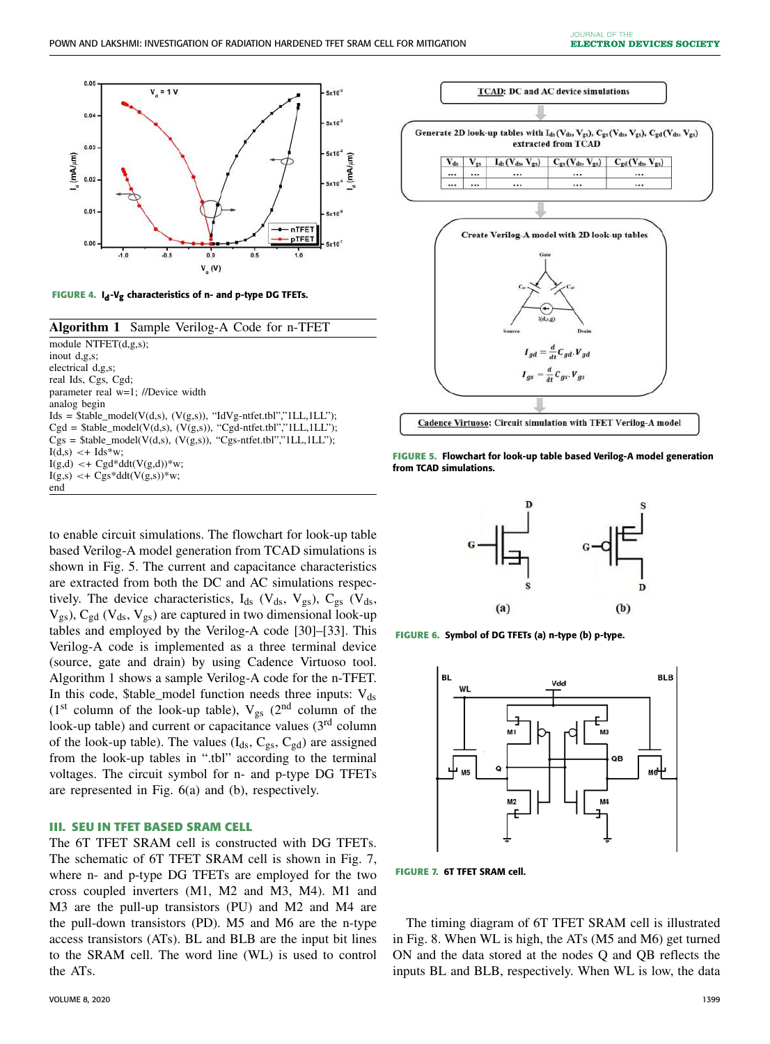

**FIGURE 4.** I**<sup>d</sup>** -V**g** characteristics of n- and p-type DG TFETs.

| <b>Algorithm 1</b> Sample Verilog-A Code for n-TFET                  |
|----------------------------------------------------------------------|
| module NTFET $(d,g,s)$ ;                                             |
| inout $d.g.s$ :                                                      |
| electrical d.g.s:                                                    |
| real Ids, Cgs, Cgd;                                                  |
| parameter real w=1; //Device width                                   |
| analog begin                                                         |
| $Ids =$ \$table_model(V(d,s), (V(g,s)), "IdVg-ntfet.tbl","1LL,1LL"); |
| $Cgd = $table_model(V(d,s), (V(g,s)), "Cgd-ntfet.tbl";"1LL,1LL";$    |
| $Cgs = $table_model(V(d,s), (V(g,s)), "Cgs-ntfet.tbl", "ILL, ILL");$ |
| $I(d,s) \leq I ds * w$ ;                                             |
| $I(g,d) \leq + Cgd^*ddt(V(g,d))^*w;$                                 |
| $I(g,s) < + \text{Cgs*} ddt(V(g,s)) \cdot w;$                        |
| end                                                                  |

to enable circuit simulations. The flowchart for look-up table based Verilog-A model generation from TCAD simulations is shown in Fig. 5. The current and capacitance characteristics are extracted from both the DC and AC simulations respectively. The device characteristics,  $I_{ds}$  (V<sub>ds</sub>, V<sub>gs</sub>), C<sub>gs</sub> (V<sub>ds</sub>,  $V_{gs}$ ),  $C_{gd}$  ( $V_{ds}$ ,  $V_{gs}$ ) are captured in two dimensional look-up tables and employed by the Verilog-A code [30]–[33]. This Verilog-A code is implemented as a three terminal device (source, gate and drain) by using Cadence Virtuoso tool. Algorithm 1 shows a sample Verilog-A code for the n-TFET. In this code, \$table\_model function needs three inputs:  $V_{ds}$ (1st column of the look-up table),  $V_{gs}$  (2<sup>nd</sup> column of the look-up table) and current or capacitance values (3<sup>rd</sup> column of the look-up table). The values  $(I_{ds}, C_{gs}, C_{gd})$  are assigned from the look-up tables in ".tbl" according to the terminal voltages. The circuit symbol for n- and p-type DG TFETs are represented in Fig. 6(a) and (b), respectively.

#### **III. SEU IN TFET BASED SRAM CELL**

The 6T TFET SRAM cell is constructed with DG TFETs. The schematic of 6T TFET SRAM cell is shown in Fig. 7, where n- and p-type DG TFETs are employed for the two cross coupled inverters (M1, M2 and M3, M4). M1 and M3 are the pull-up transistors (PU) and M2 and M4 are the pull-down transistors (PD). M5 and M6 are the n-type access transistors (ATs). BL and BLB are the input bit lines to the SRAM cell. The word line (WL) is used to control the ATs.



**FIGURE 5.** Flowchart for look-up table based Verilog-A model generation from TCAD simulations.



**FIGURE 6.** Symbol of DG TFETs (a) n-type (b) p-type.



**FIGURE 7.** 6T TFET SRAM cell.

The timing diagram of 6T TFET SRAM cell is illustrated in Fig. 8. When WL is high, the ATs (M5 and M6) get turned ON and the data stored at the nodes Q and QB reflects the inputs BL and BLB, respectively. When WL is low, the data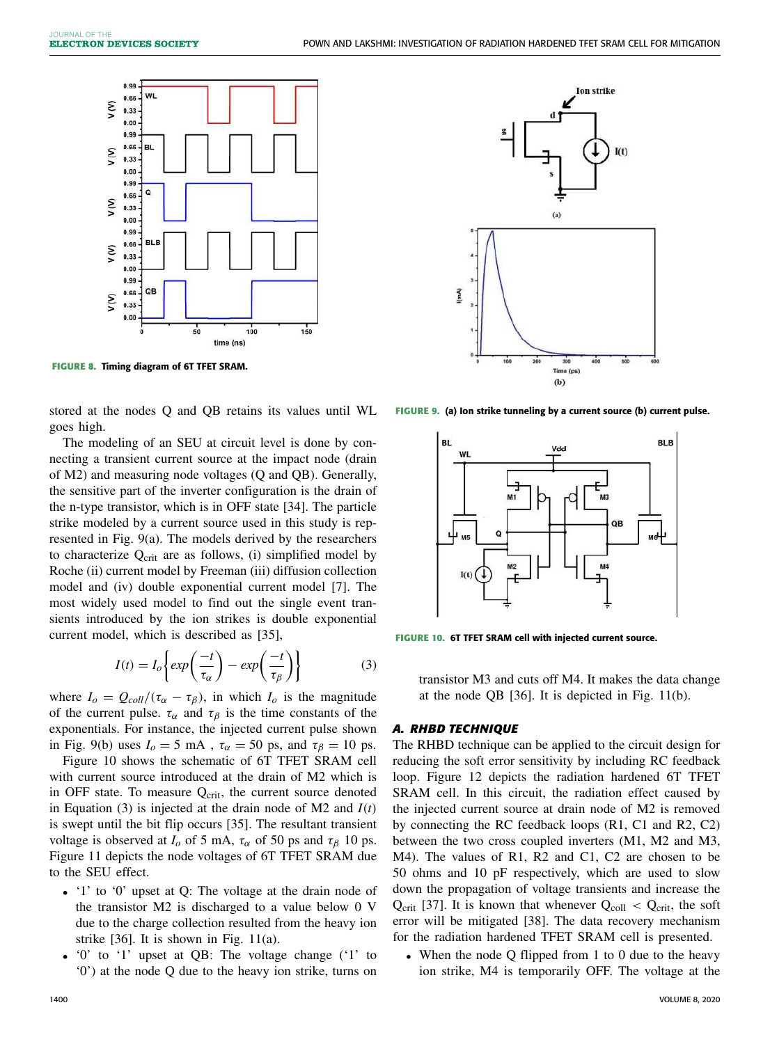

**FIGURE 8.** Timing diagram of 6T TFET SRAM.

stored at the nodes Q and QB retains its values until WL goes high.

The modeling of an SEU at circuit level is done by connecting a transient current source at the impact node (drain of M2) and measuring node voltages (Q and QB). Generally, the sensitive part of the inverter configuration is the drain of the n-type transistor, which is in OFF state [34]. The particle strike modeled by a current source used in this study is represented in Fig. 9(a). The models derived by the researchers to characterize  $Q_{\text{crit}}$  are as follows, (i) simplified model by Roche (ii) current model by Freeman (iii) diffusion collection model and (iv) double exponential current model [7]. The most widely used model to find out the single event transients introduced by the ion strikes is double exponential current model, which is described as [35],

$$
I(t) = I_o \left\{ exp\left(\frac{-t}{\tau_\alpha}\right) - exp\left(\frac{-t}{\tau_\beta}\right) \right\}
$$
 (3)

where  $I_o = Q_{coll}/(\tau_\alpha - \tau_\beta)$ , in which  $I_o$  is the magnitude of the current pulse.  $\tau_{\alpha}$  and  $\tau_{\beta}$  is the time constants of the exponentials. For instance, the injected current pulse shown in Fig. 9(b) uses  $I_0 = 5$  mA,  $\tau_\alpha = 50$  ps, and  $\tau_\beta = 10$  ps.

Figure 10 shows the schematic of 6T TFET SRAM cell with current source introduced at the drain of M2 which is in OFF state. To measure  $Q<sub>crit</sub>$ , the current source denoted in Equation (3) is injected at the drain node of M2 and  $I(t)$ is swept until the bit flip occurs [35]. The resultant transient voltage is observed at  $I_0$  of 5 mA,  $\tau_\alpha$  of 50 ps and  $\tau_\beta$  10 ps. Figure 11 depicts the node voltages of 6T TFET SRAM due to the SEU effect.

- '1' to '0' upset at Q: The voltage at the drain node of the transistor M2 is discharged to a value below 0 V due to the charge collection resulted from the heavy ion strike  $[36]$ . It is shown in Fig. 11(a).
- '0' to '1' upset at QB: The voltage change ('1' to '0') at the node Q due to the heavy ion strike, turns on



**FIGURE 9.** (a) Ion strike tunneling by a current source (b) current pulse.



**FIGURE 10.** 6T TFET SRAM cell with injected current source.

transistor M3 and cuts off M4. It makes the data change at the node QB [36]. It is depicted in Fig. 11(b).

#### *A. RHBD TECHNIQUE*

The RHBD technique can be applied to the circuit design for reducing the soft error sensitivity by including RC feedback loop. Figure 12 depicts the radiation hardened 6T TFET SRAM cell. In this circuit, the radiation effect caused by the injected current source at drain node of M2 is removed by connecting the RC feedback loops (R1, C1 and R2, C2) between the two cross coupled inverters (M1, M2 and M3, M4). The values of R1, R2 and C1, C2 are chosen to be 50 ohms and 10 pF respectively, which are used to slow down the propagation of voltage transients and increase the Qcrit [37]. It is known that whenever  $Q_{\text{coll}} < Q_{\text{crit}}$ , the soft error will be mitigated [38]. The data recovery mechanism for the radiation hardened TFET SRAM cell is presented.

• When the node Q flipped from 1 to 0 due to the heavy ion strike, M4 is temporarily OFF. The voltage at the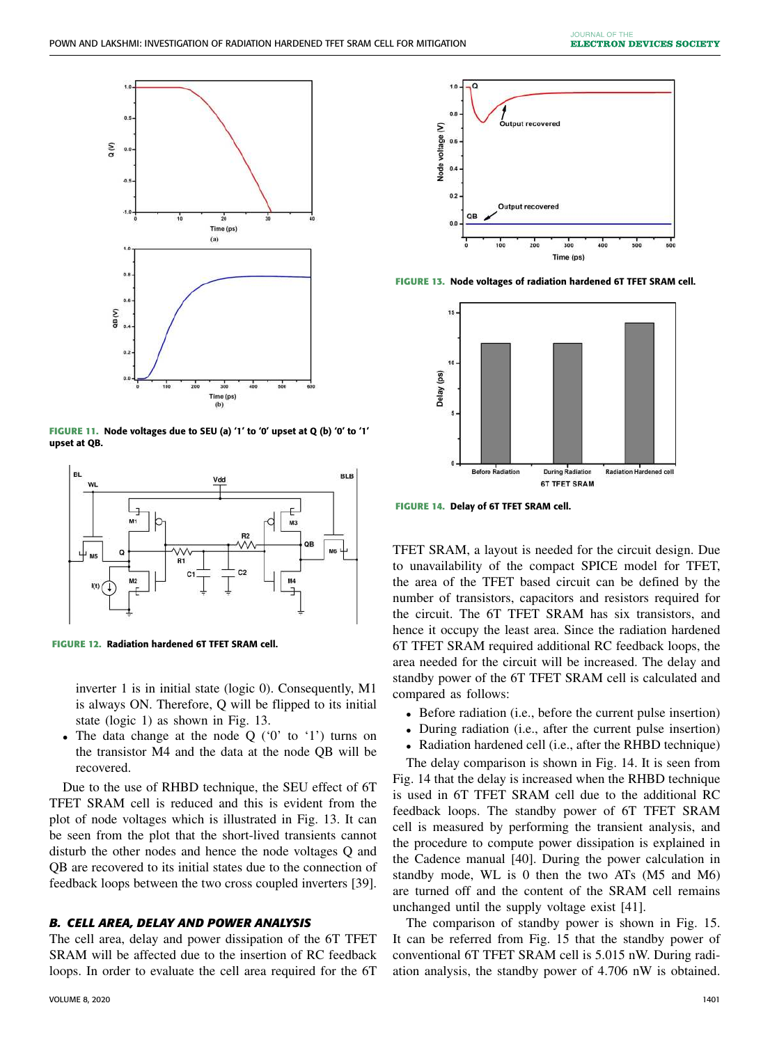

**FIGURE 11.** Node voltages due to SEU (a) '1' to '0' upset at Q (b) '0' to '1' upset at QB.



**FIGURE 12.** Radiation hardened 6T TFET SRAM cell.

inverter 1 is in initial state (logic 0). Consequently, M1 is always ON. Therefore, Q will be flipped to its initial state (logic 1) as shown in Fig. 13.

• The data change at the node Q ('0' to '1') turns on the transistor M4 and the data at the node QB will be recovered.

Due to the use of RHBD technique, the SEU effect of 6T TFET SRAM cell is reduced and this is evident from the plot of node voltages which is illustrated in Fig. 13. It can be seen from the plot that the short-lived transients cannot disturb the other nodes and hence the node voltages Q and QB are recovered to its initial states due to the connection of feedback loops between the two cross coupled inverters [39].

## *B. CELL AREA, DELAY AND POWER ANALYSIS*

The cell area, delay and power dissipation of the 6T TFET SRAM will be affected due to the insertion of RC feedback loops. In order to evaluate the cell area required for the 6T



**FIGURE 13.** Node voltages of radiation hardened 6T TFET SRAM cell.



**FIGURE 14.** Delay of 6T TFET SRAM cell.

TFET SRAM, a layout is needed for the circuit design. Due to unavailability of the compact SPICE model for TFET, the area of the TFET based circuit can be defined by the number of transistors, capacitors and resistors required for the circuit. The 6T TFET SRAM has six transistors, and hence it occupy the least area. Since the radiation hardened 6T TFET SRAM required additional RC feedback loops, the area needed for the circuit will be increased. The delay and standby power of the 6T TFET SRAM cell is calculated and compared as follows:

- Before radiation (i.e., before the current pulse insertion)
- During radiation (i.e., after the current pulse insertion)
- Radiation hardened cell (i.e., after the RHBD technique)

The delay comparison is shown in Fig. 14. It is seen from Fig. 14 that the delay is increased when the RHBD technique is used in 6T TFET SRAM cell due to the additional RC feedback loops. The standby power of 6T TFET SRAM cell is measured by performing the transient analysis, and the procedure to compute power dissipation is explained in the Cadence manual [40]. During the power calculation in standby mode, WL is 0 then the two ATs (M5 and M6) are turned off and the content of the SRAM cell remains unchanged until the supply voltage exist [41].

The comparison of standby power is shown in Fig. 15. It can be referred from Fig. 15 that the standby power of conventional 6T TFET SRAM cell is 5.015 nW. During radiation analysis, the standby power of 4.706 nW is obtained.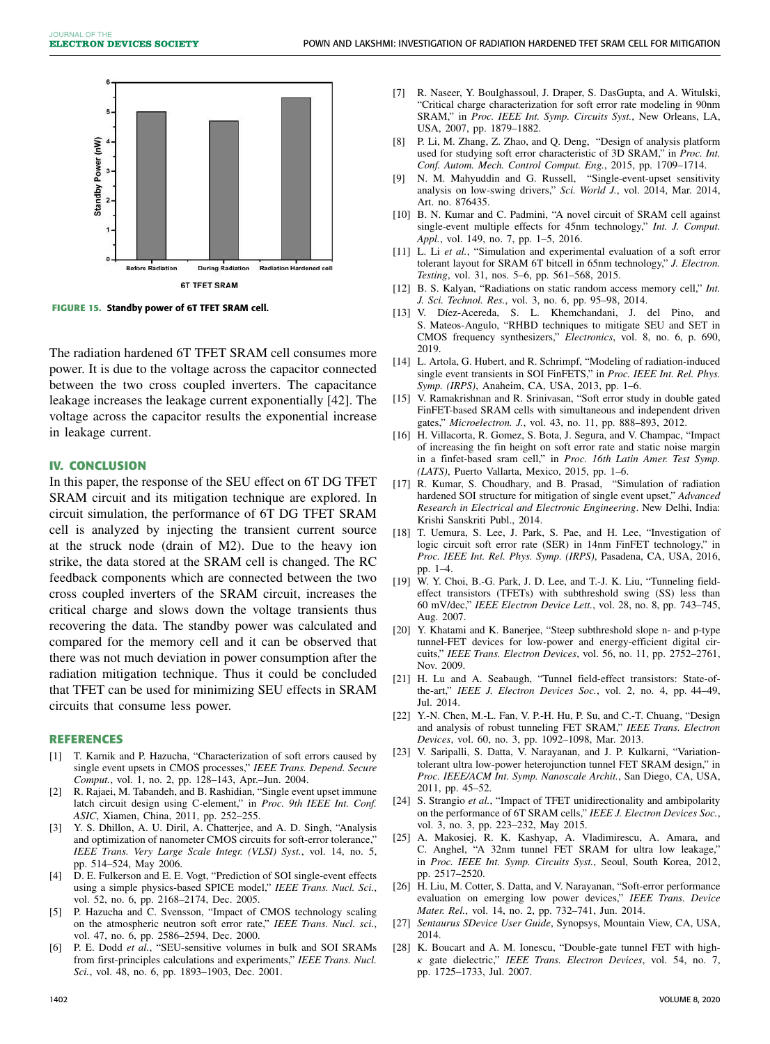

**FIGURE 15.** Standby power of 6T TFET SRAM cell.

The radiation hardened 6T TFET SRAM cell consumes more power. It is due to the voltage across the capacitor connected between the two cross coupled inverters. The capacitance leakage increases the leakage current exponentially [42]. The voltage across the capacitor results the exponential increase in leakage current.

#### **IV. CONCLUSION**

In this paper, the response of the SEU effect on 6T DG TFET SRAM circuit and its mitigation technique are explored. In circuit simulation, the performance of 6T DG TFET SRAM cell is analyzed by injecting the transient current source at the struck node (drain of M2). Due to the heavy ion strike, the data stored at the SRAM cell is changed. The RC feedback components which are connected between the two cross coupled inverters of the SRAM circuit, increases the critical charge and slows down the voltage transients thus recovering the data. The standby power was calculated and compared for the memory cell and it can be observed that there was not much deviation in power consumption after the radiation mitigation technique. Thus it could be concluded that TFET can be used for minimizing SEU effects in SRAM circuits that consume less power.

#### **REFERENCES**

- [1] T. Karnik and P. Hazucha, "Characterization of soft errors caused by single event upsets in CMOS processes," *IEEE Trans. Depend. Secure Comput.*, vol. 1, no. 2, pp. 128–143, Apr.–Jun. 2004.
- [2] R. Rajaei, M. Tabandeh, and B. Rashidian, "Single event upset immune latch circuit design using C-element," in *Proc. 9th IEEE Int. Conf. ASIC*, Xiamen, China, 2011, pp. 252–255.
- [3] Y. S. Dhillon, A. U. Diril, A. Chatterjee, and A. D. Singh, "Analysis and optimization of nanometer CMOS circuits for soft-error tolerance," *IEEE Trans. Very Large Scale Integr. (VLSI) Syst.*, vol. 14, no. 5, pp. 514–524, May 2006.
- [4] D. E. Fulkerson and E. E. Vogt, "Prediction of SOI single-event effects using a simple physics-based SPICE model," *IEEE Trans. Nucl. Sci.*, vol. 52, no. 6, pp. 2168–2174, Dec. 2005.
- [5] P. Hazucha and C. Svensson, "Impact of CMOS technology scaling on the atmospheric neutron soft error rate," *IEEE Trans. Nucl. sci.*, vol. 47, no. 6, pp. 2586–2594, Dec. 2000.
- [6] P. E. Dodd *et al.*, "SEU-sensitive volumes in bulk and SOI SRAMs from first-principles calculations and experiments," *IEEE Trans. Nucl. Sci.*, vol. 48, no. 6, pp. 1893–1903, Dec. 2001.
- [7] R. Naseer, Y. Boulghassoul, J. Draper, S. DasGupta, and A. Witulski, "Critical charge characterization for soft error rate modeling in 90nm SRAM," in *Proc. IEEE Int. Symp. Circuits Syst.*, New Orleans, LA, USA, 2007, pp. 1879–1882.
- [8] P. Li, M. Zhang, Z. Zhao, and Q. Deng, "Design of analysis platform used for studying soft error characteristic of 3D SRAM," in *Proc. Int. Conf. Autom. Mech. Control Comput. Eng.*, 2015, pp. 1709–1714.
- [9] N. M. Mahyuddin and G. Russell, "Single-event-upset sensitivity analysis on low-swing drivers," *Sci. World J.*, vol. 2014, Mar. 2014, Art. no. 876435.
- [10] B. N. Kumar and C. Padmini, "A novel circuit of SRAM cell against single-event multiple effects for 45nm technology," *Int. J. Comput. Appl.*, vol. 149, no. 7, pp. 1–5, 2016.
- [11] L. Li et al., "Simulation and experimental evaluation of a soft error tolerant layout for SRAM 6T bitcell in 65nm technology," *J. Electron. Testing*, vol. 31, nos. 5–6, pp. 561–568, 2015.
- [12] B. S. Kalyan, "Radiations on static random access memory cell," *Int. J. Sci. Technol. Res.*, vol. 3, no. 6, pp. 95–98, 2014.
- [13] V. Díez-Acereda, S. L. Khemchandani, J. del Pino, and S. Mateos-Angulo, "RHBD techniques to mitigate SEU and SET in CMOS frequency synthesizers," *Electronics*, vol. 8, no. 6, p. 690, 2019.
- [14] L. Artola, G. Hubert, and R. Schrimpf, "Modeling of radiation-induced single event transients in SOI FinFETS," in *Proc. IEEE Int. Rel. Phys. Symp. (IRPS)*, Anaheim, CA, USA, 2013, pp. 1–6.
- [15] V. Ramakrishnan and R. Srinivasan, "Soft error study in double gated FinFET-based SRAM cells with simultaneous and independent driven gates," *Microelectron. J.*, vol. 43, no. 11, pp. 888–893, 2012.
- [16] H. Villacorta, R. Gomez, S. Bota, J. Segura, and V. Champac, "Impact" of increasing the fin height on soft error rate and static noise margin in a finfet-based sram cell," in *Proc. 16th Latin Amer. Test Symp. (LATS)*, Puerto Vallarta, Mexico, 2015, pp. 1–6.
- [17] R. Kumar, S. Choudhary, and B. Prasad, "Simulation of radiation hardened SOI structure for mitigation of single event upset," *Advanced Research in Electrical and Electronic Engineering*. New Delhi, India: Krishi Sanskriti Publ., 2014.
- [18] T. Uemura, S. Lee, J. Park, S. Pae, and H. Lee, "Investigation of logic circuit soft error rate (SER) in 14nm FinFET technology," in *Proc. IEEE Int. Rel. Phys. Symp. (IRPS)*, Pasadena, CA, USA, 2016, pp. 1–4.
- [19] W. Y. Choi, B.-G. Park, J. D. Lee, and T.-J. K. Liu, "Tunneling fieldeffect transistors (TFETs) with subthreshold swing (SS) less than 60 mV/dec," *IEEE Electron Device Lett.*, vol. 28, no. 8, pp. 743–745, Aug. 2007.
- [20] Y. Khatami and K. Banerjee, "Steep subthreshold slope n- and p-type tunnel-FET devices for low-power and energy-efficient digital circuits," *IEEE Trans. Electron Devices*, vol. 56, no. 11, pp. 2752–2761, Nov. 2009.
- [21] H. Lu and A. Seabaugh, "Tunnel field-effect transistors: State-ofthe-art," *IEEE J. Electron Devices Soc.*, vol. 2, no. 4, pp. 44–49, Jul. 2014.
- [22] Y.-N. Chen, M.-L. Fan, V. P.-H. Hu, P. Su, and C.-T. Chuang, "Design and analysis of robust tunneling FET SRAM," *IEEE Trans. Electron Devices*, vol. 60, no. 3, pp. 1092–1098, Mar. 2013.
- [23] V. Saripalli, S. Datta, V. Narayanan, and J. P. Kulkarni, "Variationtolerant ultra low-power heterojunction tunnel FET SRAM design," in *Proc. IEEE/ACM Int. Symp. Nanoscale Archit.*, San Diego, CA, USA, 2011, pp. 45–52.
- [24] S. Strangio *et al.*, "Impact of TFET unidirectionality and ambipolarity on the performance of 6T SRAM cells," *IEEE J. Electron Devices Soc.*, vol. 3, no. 3, pp. 223–232, May 2015.
- [25] A. Makosiej, R. K. Kashyap, A. Vladimirescu, A. Amara, and C. Anghel, "A 32nm tunnel FET SRAM for ultra low leakage," in *Proc. IEEE Int. Symp. Circuits Syst.*, Seoul, South Korea, 2012, pp. 2517–2520.
- [26] H. Liu, M. Cotter, S. Datta, and V. Narayanan, "Soft-error performance evaluation on emerging low power devices," *IEEE Trans. Device Mater. Rel.*, vol. 14, no. 2, pp. 732–741, Jun. 2014.
- [27] *Sentaurus SDevice User Guide*, Synopsys, Mountain View, CA, USA, 2014.
- [28] K. Boucart and A. M. Ionescu, "Double-gate tunnel FET with highκ gate dielectric," *IEEE Trans. Electron Devices*, vol. 54, no. 7, pp. 1725–1733, Jul. 2007.